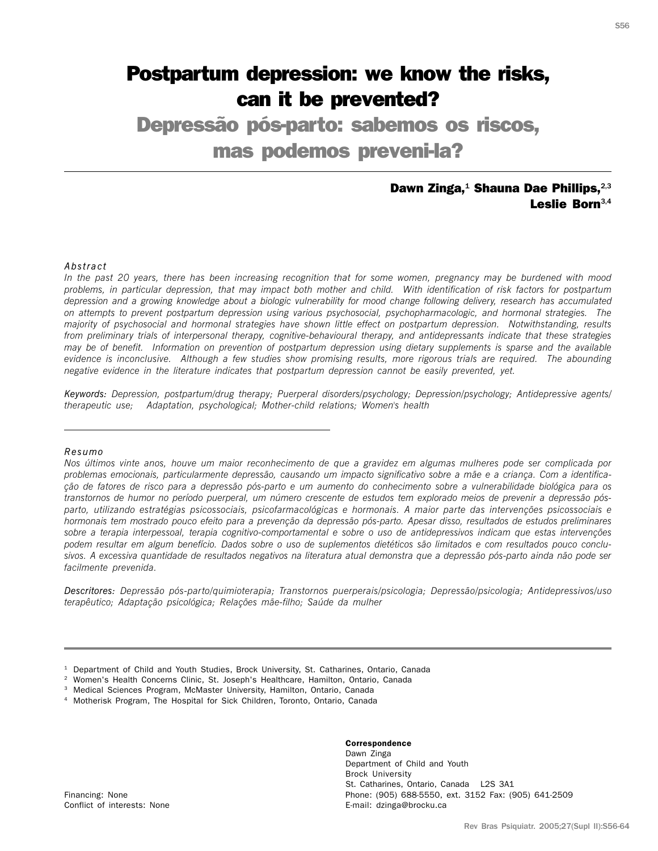# Postpartum depression: we know the risks, can it be prevented?

Depressão pós-parto: sabemos os riscos, mas podemos preveni-la?

# Dawn Zinga, $1$  Shauna Dae Phillips, $2,3$ Leslie Born $3,4$

# Abstract

In the past 20 years, there has been increasing recognition that for some women, pregnancy may be burdened with mood problems, in particular depression, that may impact both mother and child. With identification of risk factors for postpartum depression and a growing knowledge about a biologic vulnerability for mood change following delivery, research has accumulated on attempts to prevent postpartum depression using various psychosocial, psychopharmacologic, and hormonal strategies. The majority of psychosocial and hormonal strategies have shown little effect on postpartum depression. Notwithstanding, results from preliminary trials of interpersonal therapy, cognitive-behavioural therapy, and antidepressants indicate that these strategies may be of benefit. Information on prevention of postpartum depression using dietary supplements is sparse and the available evidence is inconclusive. Although a few studies show promising results, more rigorous trials are required. The abounding negative evidence in the literature indicates that postpartum depression cannot be easily prevented, yet.

Keywords: Depression, postpartum/drug therapy; Puerperal disorders/psychology; Depression/psychology; Antidepressive agents/ therapeutic use; Adaptation, psychological; Mother-child relations; Women's health

# Resumo

Nos últimos vinte anos, houve um maior reconhecimento de que a gravidez em algumas mulheres pode ser complicada por problemas emocionais, particularmente depressão, causando um impacto significativo sobre a mãe e a criança. Com a identificação de fatores de risco para a depressão pós-parto e um aumento do conhecimento sobre a vulnerabilidade biológica para os transtornos de humor no período puerperal, um número crescente de estudos tem explorado meios de prevenir a depressão pósparto, utilizando estratégias psicossociais, psicofarmacológicas e hormonais. A maior parte das intervenções psicossociais e hormonais tem mostrado pouco efeito para a prevenção da depressão pós-parto. Apesar disso, resultados de estudos preliminares sobre a terapia interpessoal, terapia cognitivo-comportamental e sobre o uso de antidepressivos indicam que estas intervenções podem resultar em algum benefício. Dados sobre o uso de suplementos dietéticos são limitados e com resultados pouco conclusivos. A excessiva quantidade de resultados negativos na literatura atual demonstra que a depressão pós-parto ainda não pode ser facilmente prevenida.

Descritores: Depressão pós-parto/quimioterapia; Transtornos puerperais/psicologia; Depressão/psicologia; Antidepressivos/uso terapêutico; Adaptação psicológica; Relações mãe-filho; Saúde da mulher

- <sup>1</sup> Department of Child and Youth Studies, Brock University, St. Catharines, Ontario, Canada
- <sup>2</sup> Women's Health Concerns Clinic, St. Joseph's Healthcare, Hamilton, Ontario, Canada
- <sup>3</sup> Medical Sciences Program, McMaster University, Hamilton, Ontario, Canada
- <sup>4</sup> Motherisk Program, The Hospital for Sick Children, Toronto, Ontario, Canada

Correspondence Dawn Zinga Department of Child and Youth Brock University St. Catharines, Ontario, Canada L2S 3A1 Phone: (905) 688-5550, ext. 3152 Fax: (905) 641-2509 E-mail: dzinga@brocku.ca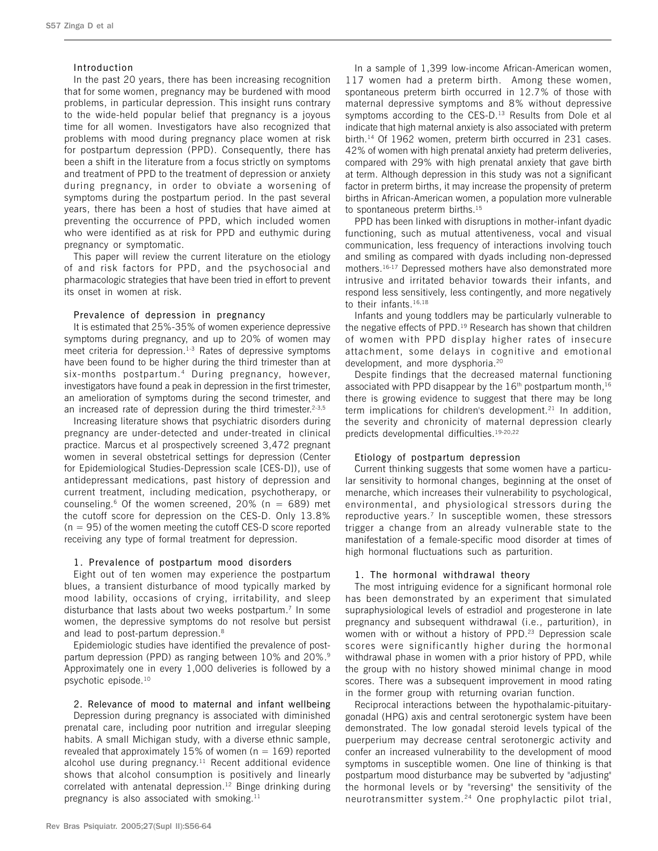# Introduction

In the past 20 years, there has been increasing recognition that for some women, pregnancy may be burdened with mood problems, in particular depression. This insight runs contrary to the wide-held popular belief that pregnancy is a joyous time for all women. Investigators have also recognized that problems with mood during pregnancy place women at risk for postpartum depression (PPD). Consequently, there has been a shift in the literature from a focus strictly on symptoms and treatment of PPD to the treatment of depression or anxiety during pregnancy, in order to obviate a worsening of symptoms during the postpartum period. In the past several years, there has been a host of studies that have aimed at preventing the occurrence of PPD, which included women who were identified as at risk for PPD and euthymic during pregnancy or symptomatic.

This paper will review the current literature on the etiology of and risk factors for PPD, and the psychosocial and pharmacologic strategies that have been tried in effort to prevent its onset in women at risk.

# Prevalence of depression in pregnancy

It is estimated that 25%-35% of women experience depressive symptoms during pregnancy, and up to 20% of women may meet criteria for depression.<sup>1-3</sup> Rates of depressive symptoms have been found to be higher during the third trimester than at six-months postpartum.<sup>4</sup> During pregnancy, however, investigators have found a peak in depression in the first trimester, an amelioration of symptoms during the second trimester, and an increased rate of depression during the third trimester. $2-3.5$ 

Increasing literature shows that psychiatric disorders during pregnancy are under-detected and under-treated in clinical practice. Marcus et al prospectively screened 3,472 pregnant women in several obstetrical settings for depression (Center for Epidemiological Studies-Depression scale [CES-D]), use of antidepressant medications, past history of depression and current treatment, including medication, psychotherapy, or counseling.<sup>6</sup> Of the women screened, 20% ( $n = 689$ ) met the cutoff score for depression on the CES-D. Only 13.8%  $(n = 95)$  of the women meeting the cutoff CES-D score reported receiving any type of formal treatment for depression.

# 1. Prevalence of postpartum mood disorders

Eight out of ten women may experience the postpartum blues, a transient disturbance of mood typically marked by mood lability, occasions of crying, irritability, and sleep disturbance that lasts about two weeks postpartum.<sup>7</sup> In some women, the depressive symptoms do not resolve but persist and lead to post-partum depression.<sup>8</sup>

Epidemiologic studies have identified the prevalence of postpartum depression (PPD) as ranging between 10% and 20%.<sup>9</sup> Approximately one in every 1,000 deliveries is followed by a psychotic episode.<sup>10</sup>

2. Relevance of mood to maternal and infant wellbeing Depression during pregnancy is associated with diminished prenatal care, including poor nutrition and irregular sleeping habits. A small Michigan study, with a diverse ethnic sample, revealed that approximately 15% of women ( $n = 169$ ) reported alcohol use during pregnancy.<sup>11</sup> Recent additional evidence shows that alcohol consumption is positively and linearly correlated with antenatal depression.<sup>12</sup> Binge drinking during pregnancy is also associated with smoking.<sup>11</sup>

In a sample of 1,399 low-income African-American women, 117 women had a preterm birth. Among these women, spontaneous preterm birth occurred in 12.7% of those with maternal depressive symptoms and 8% without depressive symptoms according to the CES-D.<sup>13</sup> Results from Dole et al indicate that high maternal anxiety is also associated with preterm birth.<sup>14</sup> Of 1962 women, preterm birth occurred in 231 cases. 42% of women with high prenatal anxiety had preterm deliveries, compared with 29% with high prenatal anxiety that gave birth at term. Although depression in this study was not a significant factor in preterm births, it may increase the propensity of preterm births in African-American women, a population more vulnerable to spontaneous preterm births.<sup>15</sup>

PPD has been linked with disruptions in mother-infant dyadic functioning, such as mutual attentiveness, vocal and visual communication, less frequency of interactions involving touch and smiling as compared with dyads including non-depressed mothers.<sup>16-17</sup> Depressed mothers have also demonstrated more intrusive and irritated behavior towards their infants, and respond less sensitively, less contingently, and more negatively to their infants.16,18

Infants and young toddlers may be particularly vulnerable to the negative effects of PPD.<sup>19</sup> Research has shown that children of women with PPD display higher rates of insecure attachment, some delays in cognitive and emotional development, and more dysphoria.<sup>20</sup>

Despite findings that the decreased maternal functioning associated with PPD disappear by the  $16<sup>th</sup>$  postpartum month,<sup>16</sup> there is growing evidence to suggest that there may be long term implications for children's development.<sup>21</sup> In addition, the severity and chronicity of maternal depression clearly predicts developmental difficulties.19-20,22

# Etiology of postpartum depression

Current thinking suggests that some women have a particular sensitivity to hormonal changes, beginning at the onset of menarche, which increases their vulnerability to psychological, environmental, and physiological stressors during the reproductive years.<sup>7</sup> In susceptible women, these stressors trigger a change from an already vulnerable state to the manifestation of a female-specific mood disorder at times of high hormonal fluctuations such as parturition.

# 1. The hormonal withdrawal theory

The most intriguing evidence for a significant hormonal role has been demonstrated by an experiment that simulated supraphysiological levels of estradiol and progesterone in late pregnancy and subsequent withdrawal (i.e., parturition), in women with or without a history of PPD.<sup>23</sup> Depression scale scores were significantly higher during the hormonal withdrawal phase in women with a prior history of PPD, while the group with no history showed minimal change in mood scores. There was a subsequent improvement in mood rating in the former group with returning ovarian function.

Reciprocal interactions between the hypothalamic-pituitarygonadal (HPG) axis and central serotonergic system have been demonstrated. The low gonadal steroid levels typical of the puerperium may decrease central serotonergic activity and confer an increased vulnerability to the development of mood symptoms in susceptible women. One line of thinking is that postpartum mood disturbance may be subverted by "adjusting" the hormonal levels or by "reversing" the sensitivity of the neurotransmitter system.<sup>24</sup> One prophylactic pilot trial,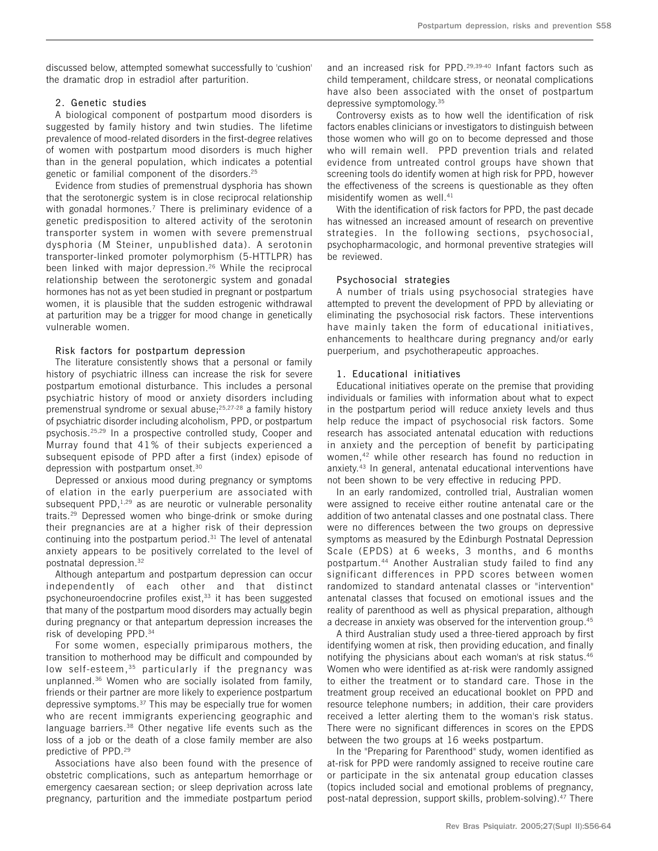discussed below, attempted somewhat successfully to 'cushion' the dramatic drop in estradiol after parturition.

# 2. Genetic studies

A biological component of postpartum mood disorders is suggested by family history and twin studies. The lifetime prevalence of mood-related disorders in the first-degree relatives of women with postpartum mood disorders is much higher than in the general population, which indicates a potential genetic or familial component of the disorders.<sup>25</sup>

Evidence from studies of premenstrual dysphoria has shown that the serotonergic system is in close reciprocal relationship with gonadal hormones.<sup>7</sup> There is preliminary evidence of a genetic predisposition to altered activity of the serotonin transporter system in women with severe premenstrual dysphoria (M Steiner, unpublished data). A serotonin transporter-linked promoter polymorphism (5-HTTLPR) has been linked with major depression.<sup>26</sup> While the reciprocal relationship between the serotonergic system and gonadal hormones has not as yet been studied in pregnant or postpartum women, it is plausible that the sudden estrogenic withdrawal at parturition may be a trigger for mood change in genetically vulnerable women.

# Risk factors for postpartum depression

The literature consistently shows that a personal or family history of psychiatric illness can increase the risk for severe postpartum emotional disturbance. This includes a personal psychiatric history of mood or anxiety disorders including premenstrual syndrome or sexual abuse;25,27-28 a family history of psychiatric disorder including alcoholism, PPD, or postpartum psychosis.25,29 In a prospective controlled study, Cooper and Murray found that 41% of their subjects experienced a subsequent episode of PPD after a first (index) episode of depression with postpartum onset.<sup>30</sup>

Depressed or anxious mood during pregnancy or symptoms of elation in the early puerperium are associated with subsequent PPD,<sup>1,29</sup> as are neurotic or vulnerable personality traits.<sup>29</sup> Depressed women who binge-drink or smoke during their pregnancies are at a higher risk of their depression continuing into the postpartum period. $31$  The level of antenatal anxiety appears to be positively correlated to the level of postnatal depression.<sup>32</sup>

Although antepartum and postpartum depression can occur independently of each other and that distinct psychoneuroendocrine profiles exist, $33$  it has been suggested that many of the postpartum mood disorders may actually begin during pregnancy or that antepartum depression increases the risk of developing PPD.<sup>34</sup>

For some women, especially primiparous mothers, the transition to motherhood may be difficult and compounded by low self-esteem, $35$  particularly if the pregnancy was unplanned.<sup>36</sup> Women who are socially isolated from family, friends or their partner are more likely to experience postpartum depressive symptoms.<sup>37</sup> This may be especially true for women who are recent immigrants experiencing geographic and language barriers.<sup>38</sup> Other negative life events such as the loss of a job or the death of a close family member are also predictive of PPD.<sup>29</sup>

Associations have also been found with the presence of obstetric complications, such as antepartum hemorrhage or emergency caesarean section; or sleep deprivation across late pregnancy, parturition and the immediate postpartum period and an increased risk for PPD.<sup>29,39-40</sup> Infant factors such as child temperament, childcare stress, or neonatal complications have also been associated with the onset of postpartum depressive symptomology.<sup>35</sup>

Controversy exists as to how well the identification of risk factors enables clinicians or investigators to distinguish between those women who will go on to become depressed and those who will remain well. PPD prevention trials and related evidence from untreated control groups have shown that screening tools do identify women at high risk for PPD, however the effectiveness of the screens is questionable as they often misidentify women as well. $41$ 

With the identification of risk factors for PPD, the past decade has witnessed an increased amount of research on preventive strategies. In the following sections, psychosocial, psychopharmacologic, and hormonal preventive strategies will be reviewed.

# Psychosocial strategies

A number of trials using psychosocial strategies have attempted to prevent the development of PPD by alleviating or eliminating the psychosocial risk factors. These interventions have mainly taken the form of educational initiatives, enhancements to healthcare during pregnancy and/or early puerperium, and psychotherapeutic approaches.

# 1. Educational initiatives

Educational initiatives operate on the premise that providing individuals or families with information about what to expect in the postpartum period will reduce anxiety levels and thus help reduce the impact of psychosocial risk factors. Some research has associated antenatal education with reductions in anxiety and the perception of benefit by participating women,<sup>42</sup> while other research has found no reduction in anxiety.<sup>43</sup> In general, antenatal educational interventions have not been shown to be very effective in reducing PPD.

In an early randomized, controlled trial, Australian women were assigned to receive either routine antenatal care or the addition of two antenatal classes and one postnatal class. There were no differences between the two groups on depressive symptoms as measured by the Edinburgh Postnatal Depression Scale (EPDS) at 6 weeks, 3 months, and 6 months postpartum.<sup>44</sup> Another Australian study failed to find any significant differences in PPD scores between women randomized to standard antenatal classes or "intervention" antenatal classes that focused on emotional issues and the reality of parenthood as well as physical preparation, although a decrease in anxiety was observed for the intervention group.<sup>45</sup>

A third Australian study used a three-tiered approach by first identifying women at risk, then providing education, and finally notifying the physicians about each woman's at risk status.<sup>46</sup> Women who were identified as at-risk were randomly assigned to either the treatment or to standard care. Those in the treatment group received an educational booklet on PPD and resource telephone numbers; in addition, their care providers received a letter alerting them to the woman's risk status. There were no significant differences in scores on the EPDS between the two groups at 16 weeks postpartum.

In the "Preparing for Parenthood" study, women identified as at-risk for PPD were randomly assigned to receive routine care or participate in the six antenatal group education classes (topics included social and emotional problems of pregnancy, post-natal depression, support skills, problem-solving).<sup>47</sup> There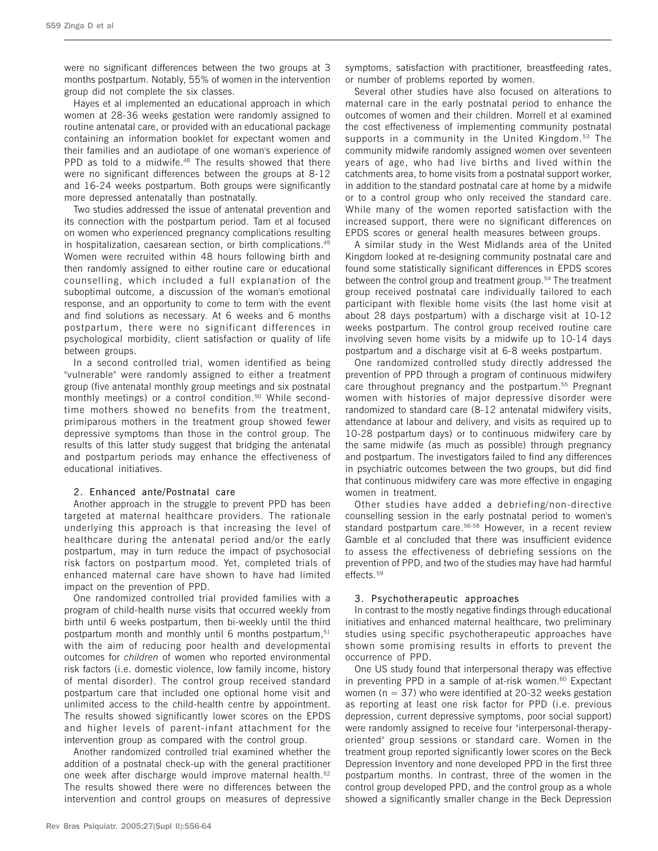were no significant differences between the two groups at 3 months postpartum. Notably, 55% of women in the intervention group did not complete the six classes.

Hayes et al implemented an educational approach in which women at 28-36 weeks gestation were randomly assigned to routine antenatal care, or provided with an educational package containing an information booklet for expectant women and their families and an audiotape of one woman's experience of PPD as told to a midwife.<sup>48</sup> The results showed that there were no significant differences between the groups at 8-12 and 16-24 weeks postpartum. Both groups were significantly more depressed antenatally than postnatally.

Two studies addressed the issue of antenatal prevention and its connection with the postpartum period. Tam et al focused on women who experienced pregnancy complications resulting in hospitalization, caesarean section, or birth complications.<sup>49</sup> Women were recruited within 48 hours following birth and then randomly assigned to either routine care or educational counselling, which included a full explanation of the suboptimal outcome, a discussion of the woman's emotional response, and an opportunity to come to term with the event and find solutions as necessary. At 6 weeks and 6 months postpartum, there were no significant differences in psychological morbidity, client satisfaction or quality of life between groups.

In a second controlled trial, women identified as being "vulnerable" were randomly assigned to either a treatment group (five antenatal monthly group meetings and six postnatal monthly meetings) or a control condition.<sup>50</sup> While secondtime mothers showed no benefits from the treatment, primiparous mothers in the treatment group showed fewer depressive symptoms than those in the control group. The results of this latter study suggest that bridging the antenatal and postpartum periods may enhance the effectiveness of educational initiatives.

# 2. Enhanced ante/Postnatal care

Another approach in the struggle to prevent PPD has been targeted at maternal healthcare providers. The rationale underlying this approach is that increasing the level of healthcare during the antenatal period and/or the early postpartum, may in turn reduce the impact of psychosocial risk factors on postpartum mood. Yet, completed trials of enhanced maternal care have shown to have had limited impact on the prevention of PPD.

One randomized controlled trial provided families with a program of child-health nurse visits that occurred weekly from birth until 6 weeks postpartum, then bi-weekly until the third postpartum month and monthly until 6 months postpartum,  $51$ with the aim of reducing poor health and developmental outcomes for children of women who reported environmental risk factors (i.e. domestic violence, low family income, history of mental disorder). The control group received standard postpartum care that included one optional home visit and unlimited access to the child-health centre by appointment. The results showed significantly lower scores on the EPDS and higher levels of parent-infant attachment for the intervention group as compared with the control group.

Another randomized controlled trial examined whether the addition of a postnatal check-up with the general practitioner one week after discharge would improve maternal health.<sup>52</sup> The results showed there were no differences between the intervention and control groups on measures of depressive

symptoms, satisfaction with practitioner, breastfeeding rates, or number of problems reported by women.

Several other studies have also focused on alterations to maternal care in the early postnatal period to enhance the outcomes of women and their children. Morrell et al examined the cost effectiveness of implementing community postnatal supports in a community in the United Kingdom.<sup>53</sup> The community midwife randomly assigned women over seventeen years of age, who had live births and lived within the catchments area, to home visits from a postnatal support worker, in addition to the standard postnatal care at home by a midwife or to a control group who only received the standard care. While many of the women reported satisfaction with the increased support, there were no significant differences on EPDS scores or general health measures between groups.

A similar study in the West Midlands area of the United Kingdom looked at re-designing community postnatal care and found some statistically significant differences in EPDS scores between the control group and treatment group.<sup>54</sup> The treatment group received postnatal care individually tailored to each participant with flexible home visits (the last home visit at about 28 days postpartum) with a discharge visit at 10-12 weeks postpartum. The control group received routine care involving seven home visits by a midwife up to 10-14 days postpartum and a discharge visit at 6-8 weeks postpartum.

One randomized controlled study directly addressed the prevention of PPD through a program of continuous midwifery care throughout pregnancy and the postpartum.<sup>55</sup> Pregnant women with histories of major depressive disorder were randomized to standard care (8-12 antenatal midwifery visits, attendance at labour and delivery, and visits as required up to 10-28 postpartum days) or to continuous midwifery care by the same midwife (as much as possible) through pregnancy and postpartum. The investigators failed to find any differences in psychiatric outcomes between the two groups, but did find that continuous midwifery care was more effective in engaging women in treatment.

Other studies have added a debriefing/non-directive counselling session in the early postnatal period to women's standard postpartum care.<sup>56-58</sup> However, in a recent review Gamble et al concluded that there was insufficient evidence to assess the effectiveness of debriefing sessions on the prevention of PPD, and two of the studies may have had harmful effects.<sup>59</sup>

# 3. Psychotherapeutic approaches

In contrast to the mostly negative findings through educational initiatives and enhanced maternal healthcare, two preliminary studies using specific psychotherapeutic approaches have shown some promising results in efforts to prevent the occurrence of PPD.

One US study found that interpersonal therapy was effective in preventing PPD in a sample of at-risk women.<sup>60</sup> Expectant women ( $n = 37$ ) who were identified at 20-32 weeks gestation as reporting at least one risk factor for PPD (i.e. previous depression, current depressive symptoms, poor social support) were randomly assigned to receive four "interpersonal-therapyoriented" group sessions or standard care. Women in the treatment group reported significantly lower scores on the Beck Depression Inventory and none developed PPD in the first three postpartum months. In contrast, three of the women in the control group developed PPD, and the control group as a whole showed a significantly smaller change in the Beck Depression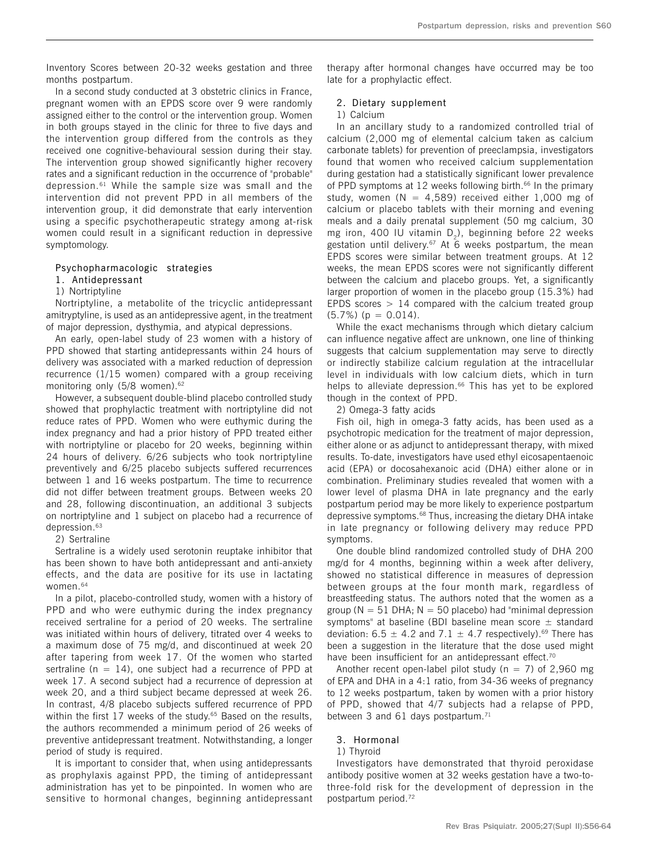Inventory Scores between 20-32 weeks gestation and three months postpartum.

In a second study conducted at 3 obstetric clinics in France, pregnant women with an EPDS score over 9 were randomly assigned either to the control or the intervention group. Women in both groups stayed in the clinic for three to five days and the intervention group differed from the controls as they received one cognitive-behavioural session during their stay. The intervention group showed significantly higher recovery rates and a significant reduction in the occurrence of "probable" depression.<sup>61</sup> While the sample size was small and the intervention did not prevent PPD in all members of the intervention group, it did demonstrate that early intervention using a specific psychotherapeutic strategy among at-risk women could result in a significant reduction in depressive symptomology.

# Psychopharmacologic strategies

#### 1. Antidepressant

#### 1) Nortriptyline

Nortriptyline, a metabolite of the tricyclic antidepressant amitryptyline, is used as an antidepressive agent, in the treatment of major depression, dysthymia, and atypical depressions.

An early, open-label study of 23 women with a history of PPD showed that starting antidepressants within 24 hours of delivery was associated with a marked reduction of depression recurrence (1/15 women) compared with a group receiving monitoring only (5/8 women).<sup>62</sup>

However, a subsequent double-blind placebo controlled study showed that prophylactic treatment with nortriptyline did not reduce rates of PPD. Women who were euthymic during the index pregnancy and had a prior history of PPD treated either with nortriptyline or placebo for 20 weeks, beginning within 24 hours of delivery. 6/26 subjects who took nortriptyline preventively and 6/25 placebo subjects suffered recurrences between 1 and 16 weeks postpartum. The time to recurrence did not differ between treatment groups. Between weeks 20 and 28, following discontinuation, an additional 3 subjects on nortriptyline and 1 subject on placebo had a recurrence of depression.<sup>63</sup>

2) Sertraline

Sertraline is a widely used serotonin reuptake inhibitor that has been shown to have both antidepressant and anti-anxiety effects, and the data are positive for its use in lactating women.<sup>64</sup>

In a pilot, placebo-controlled study, women with a history of PPD and who were euthymic during the index pregnancy received sertraline for a period of 20 weeks. The sertraline was initiated within hours of delivery, titrated over 4 weeks to a maximum dose of 75 mg/d, and discontinued at week 20 after tapering from week 17. Of the women who started sertraline ( $n = 14$ ), one subject had a recurrence of PPD at week 17. A second subject had a recurrence of depression at week 20, and a third subject became depressed at week 26. In contrast, 4/8 placebo subjects suffered recurrence of PPD within the first 17 weeks of the study.<sup>65</sup> Based on the results, the authors recommended a minimum period of 26 weeks of preventive antidepressant treatment. Notwithstanding, a longer period of study is required.

It is important to consider that, when using antidepressants as prophylaxis against PPD, the timing of antidepressant administration has yet to be pinpointed. In women who are sensitive to hormonal changes, beginning antidepressant therapy after hormonal changes have occurred may be too late for a prophylactic effect.

#### 2. Dietary supplement

#### 1) Calcium

In an ancillary study to a randomized controlled trial of calcium (2,000 mg of elemental calcium taken as calcium carbonate tablets) for prevention of preeclampsia, investigators found that women who received calcium supplementation during gestation had a statistically significant lower prevalence of PPD symptoms at 12 weeks following birth.<sup>66</sup> In the primary study, women ( $N = 4,589$ ) received either 1,000 mg of calcium or placebo tablets with their morning and evening meals and a daily prenatal supplement (50 mg calcium, 30 mg iron, 400 IU vitamin  $D<sub>o</sub>$ ), beginning before 22 weeks gestation until delivery.<sup>67</sup> At  $\overline{6}$  weeks postpartum, the mean EPDS scores were similar between treatment groups. At 12 weeks, the mean EPDS scores were not significantly different between the calcium and placebo groups. Yet, a significantly larger proportion of women in the placebo group (15.3%) had EPDS scores  $> 14$  compared with the calcium treated group  $(5.7\%)$  (p = 0.014).

While the exact mechanisms through which dietary calcium can influence negative affect are unknown, one line of thinking suggests that calcium supplementation may serve to directly or indirectly stabilize calcium regulation at the intracellular level in individuals with low calcium diets, which in turn helps to alleviate depression.<sup>66</sup> This has yet to be explored though in the context of PPD.

#### 2) Omega-3 fatty acids

Fish oil, high in omega-3 fatty acids, has been used as a psychotropic medication for the treatment of major depression, either alone or as adjunct to antidepressant therapy, with mixed results. To-date, investigators have used ethyl eicosapentaenoic acid (EPA) or docosahexanoic acid (DHA) either alone or in combination. Preliminary studies revealed that women with a lower level of plasma DHA in late pregnancy and the early postpartum period may be more likely to experience postpartum depressive symptoms.<sup>68</sup> Thus, increasing the dietary DHA intake in late pregnancy or following delivery may reduce PPD symptoms.

One double blind randomized controlled study of DHA 200 mg/d for 4 months, beginning within a week after delivery, showed no statistical difference in measures of depression between groups at the four month mark, regardless of breastfeeding status. The authors noted that the women as a group ( $N = 51$  DHA;  $N = 50$  placebo) had "minimal depression symptoms" at baseline (BDI baseline mean score  $\pm$  standard deviation: 6.5  $\pm$  4.2 and 7.1  $\pm$  4.7 respectively).<sup>69</sup> There has been a suggestion in the literature that the dose used might have been insufficient for an antidepressant effect.<sup>70</sup>

Another recent open-label pilot study ( $n = 7$ ) of 2,960 mg of EPA and DHA in a 4:1 ratio, from 34-36 weeks of pregnancy to 12 weeks postpartum, taken by women with a prior history of PPD, showed that 4/7 subjects had a relapse of PPD, between 3 and 61 days postpartum.<sup>71</sup>

# 3. Hormonal

# 1) Thyroid

Investigators have demonstrated that thyroid peroxidase antibody positive women at 32 weeks gestation have a two-tothree-fold risk for the development of depression in the postpartum period.72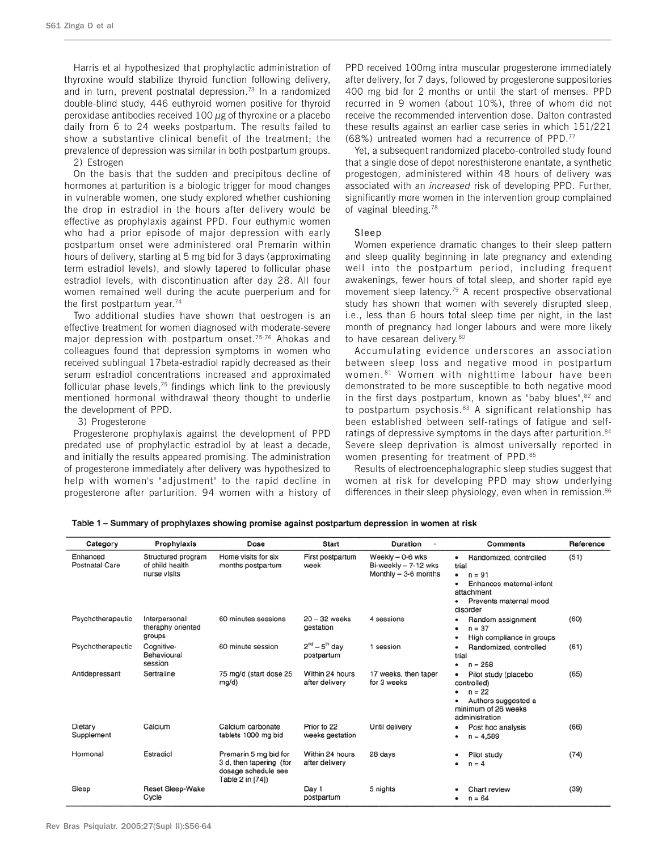Harris et al hypothesized that prophylactic administration of thyroxine would stabilize thyroid function following delivery, and in turn, prevent postnatal depression.<sup>73</sup> In a randomized double-blind study, 446 euthyroid women positive for thyroid peroxidase antibodies received  $100 \mu$ g of thyroxine or a placebo daily from 6 to 24 weeks postpartum. The results failed to show a substantive clinical benefit of the treatment; the prevalence of depression was similar in both postpartum groups.

2) Estrogen

On the basis that the sudden and precipitous decline of hormones at parturition is a biologic trigger for mood changes in vulnerable women, one study explored whether cushioning the drop in estradiol in the hours after delivery would be effective as prophylaxis against PPD. Four euthymic women who had a prior episode of major depression with early postpartum onset were administered oral Premarin within hours of delivery, starting at 5 mg bid for 3 days (approximating term estradiol levels), and slowly tapered to follicular phase estradiol levels, with discontinuation after day 28. All four women remained well during the acute puerperium and for the first postpartum year.<sup>74</sup>

Two additional studies have shown that oestrogen is an effective treatment for women diagnosed with moderate-severe major depression with postpartum onset.75-76 Ahokas and colleagues found that depression symptoms in women who received sublingual 17beta-estradiol rapidly decreased as their serum estradiol concentrations increased and approximated follicular phase levels, $75$  findings which link to the previously mentioned hormonal withdrawal theory thought to underlie the development of PPD.

#### 3) Progesterone

Progesterone prophylaxis against the development of PPD predated use of prophylactic estradiol by at least a decade, and initially the results appeared promising. The administration of progesterone immediately after delivery was hypothesized to help with women's "adjustment" to the rapid decline in progesterone after parturition. 94 women with a history of PPD received 100mg intra muscular progesterone immediately after delivery, for 7 days, followed by progesterone suppositories 400 mg bid for 2 months or until the start of menses. PPD recurred in 9 women (about 10%), three of whom did not receive the recommended intervention dose. Dalton contrasted these results against an earlier case series in which 151/221 (68%) untreated women had a recurrence of PPD.<sup>77</sup>

Yet, a subsequent randomized placebo-controlled study found that a single dose of depot noresthisterone enantate, a synthetic progestogen, administered within 48 hours of delivery was associated with an increased risk of developing PPD. Further, significantly more women in the intervention group complained of vaginal bleeding.<sup>78</sup>

# Sleep

Women experience dramatic changes to their sleep pattern and sleep quality beginning in late pregnancy and extending well into the postpartum period, including frequent awakenings, fewer hours of total sleep, and shorter rapid eye movement sleep latency.<sup>79</sup> A recent prospective observational study has shown that women with severely disrupted sleep, i.e., less than 6 hours total sleep time per night, in the last month of pregnancy had longer labours and were more likely to have cesarean delivery.<sup>80</sup>

Accumulating evidence underscores an association between sleep loss and negative mood in postpartum women. <sup>81</sup> Women with nighttime labour have been demonstrated to be more susceptible to both negative mood in the first days postpartum, known as "baby blues", $82$  and to postpartum psychosis.<sup>83</sup> A significant relationship has been established between self-ratings of fatigue and selfratings of depressive symptoms in the days after parturition.<sup>84</sup> Severe sleep deprivation is almost universally reported in women presenting for treatment of PPD.<sup>85</sup>

Results of electroencephalographic sleep studies suggest that women at risk for developing PPD may show underlying differences in their sleep physiology, even when in remission.<sup>86</sup>

| Table 1 – Summary of prophylaxes showing promise against postpartum depression in women at risk |  |
|-------------------------------------------------------------------------------------------------|--|
|-------------------------------------------------------------------------------------------------|--|

| Category                          | Prophylaxis                                           | Dose                                                                    | <b>Start</b>                      | <b>Duration</b><br>$\sim$                                          | <b>Comments</b>                                                                                                                                 | Reference |
|-----------------------------------|-------------------------------------------------------|-------------------------------------------------------------------------|-----------------------------------|--------------------------------------------------------------------|-------------------------------------------------------------------------------------------------------------------------------------------------|-----------|
| Enhanced<br><b>Postnatal Care</b> | Structured program<br>of child health<br>nurse visits | Home visits for six<br>months postpartum                                | First postpartum<br>week          | Weekly $-0.6$ wks<br>Bi-weekly - 7-12 wks<br>Monthly $-3-6$ months | Randomized, controlled<br>٠<br>trial<br>$n = 91$<br>٠<br>Enhances maternal-infant<br>٠<br>attachment<br>Prevents maternal mood<br>٠<br>disorder | (51)      |
| Psychotherapeutic                 | Interpersonal<br>theraphy oriented<br>groups          | 60 minutes sessions                                                     | $20 - 32$ weeks<br>gestation      | 4 sessions                                                         | Random assignment<br>٠<br>$n = 37$<br>٠<br>High compliance in groups<br>٠                                                                       | (60)      |
| Psychotherapeutic                 | Cognitive-<br>Behavioural<br>session                  | 60 minute session                                                       | $2nd - 5th$ day<br>postpartum     | 1 session                                                          | Randomized, controlled<br>٠<br>trial<br>$n = 258$<br>٠                                                                                          | (61)      |
| Antidepressant                    | Sertraline                                            | 75 mg/d (start dose 25<br>mg/d)                                         | Within 24 hours<br>after delivery | 17 weeks, then taper<br>for 3 weeks                                | Pilot study (placebo<br>۰<br>controlled)<br>$n = 22$<br>٠<br>Authors suggested a<br>٠<br>minimum of 26 weeks                                    | (65)      |
| Dietary<br>Supplement             | Calcium                                               | Calcium carbonate<br>tablets 1000 mg bid                                | Prior to 22<br>weeks gestation    | Until delivery                                                     | administration<br>Post hoc analysis<br>٠<br>$n = 4.589$<br>٠                                                                                    | (66)      |
| Hormonal                          | Estradiol                                             | Premarin 5 mg bid for<br>3 d, then tapering (for<br>dosage schedule see | Within 24 hours<br>after delivery | 28 days                                                            | Pilot study<br>٠<br>$n = 4$<br>٠                                                                                                                | (74)      |
| Sleep                             | <b>Reset Sleep-Wake</b><br>Cycle                      | Table 2 in [74])                                                        | Day 1<br>postpartum               | 5 nights                                                           | Chart review<br>٠<br>$n = 64$<br>٠                                                                                                              | (39)      |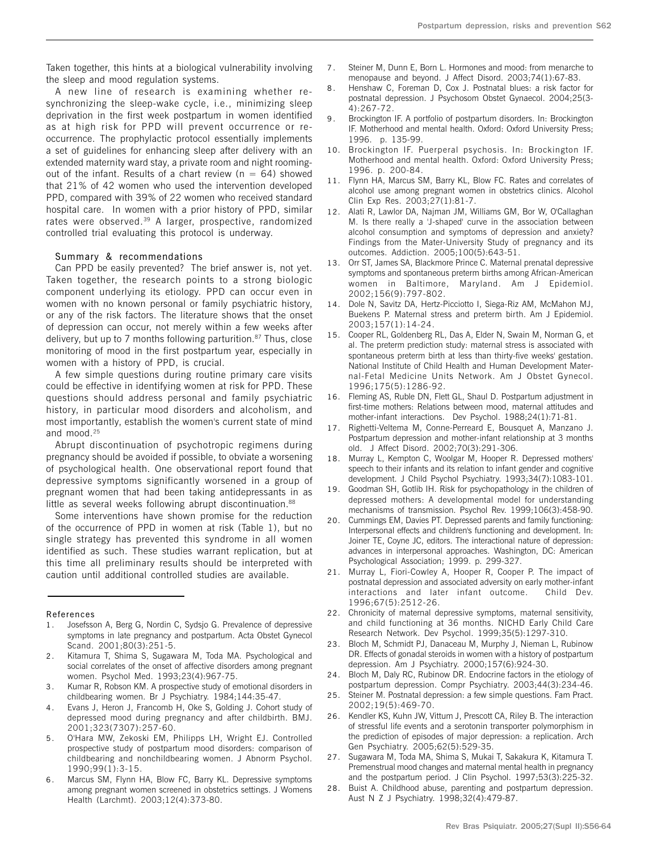Taken together, this hints at a biological vulnerability involving the sleep and mood regulation systems.

A new line of research is examining whether resynchronizing the sleep-wake cycle, i.e., minimizing sleep deprivation in the first week postpartum in women identified as at high risk for PPD will prevent occurrence or reoccurrence. The prophylactic protocol essentially implements a set of guidelines for enhancing sleep after delivery with an extended maternity ward stay, a private room and night roomingout of the infant. Results of a chart review ( $n = 64$ ) showed that 21% of 42 women who used the intervention developed PPD, compared with 39% of 22 women who received standard hospital care. In women with a prior history of PPD, similar rates were observed.<sup>39</sup> A larger, prospective, randomized controlled trial evaluating this protocol is underway.

# Summary & recommendations

Can PPD be easily prevented? The brief answer is, not yet. Taken together, the research points to a strong biologic component underlying its etiology. PPD can occur even in women with no known personal or family psychiatric history, or any of the risk factors. The literature shows that the onset of depression can occur, not merely within a few weeks after delivery, but up to 7 months following parturition.<sup>87</sup> Thus, close monitoring of mood in the first postpartum year, especially in women with a history of PPD, is crucial.

A few simple questions during routine primary care visits could be effective in identifying women at risk for PPD. These questions should address personal and family psychiatric history, in particular mood disorders and alcoholism, and most importantly, establish the women's current state of mind and mood.<sup>25</sup>

Abrupt discontinuation of psychotropic regimens during pregnancy should be avoided if possible, to obviate a worsening of psychological health. One observational report found that depressive symptoms significantly worsened in a group of pregnant women that had been taking antidepressants in as little as several weeks following abrupt discontinuation.<sup>88</sup>

Some interventions have shown promise for the reduction of the occurrence of PPD in women at risk (Table 1), but no single strategy has prevented this syndrome in all women identified as such. These studies warrant replication, but at this time all preliminary results should be interpreted with caution until additional controlled studies are available.

# References

- 1. Josefsson A, Berg G, Nordin C, Sydsjo G. Prevalence of depressive symptoms in late pregnancy and postpartum. Acta Obstet Gynecol Scand. 2001;80(3):251-5.
- 2 . Kitamura T, Shima S, Sugawara M, Toda MA. Psychological and social correlates of the onset of affective disorders among pregnant women. Psychol Med. 1993;23(4):967-75.
- 3 . Kumar R, Robson KM. A prospective study of emotional disorders in childbearing women. Br J Psychiatry. 1984;144:35-47.
- 4 . Evans J, Heron J, Francomb H, Oke S, Golding J. Cohort study of depressed mood during pregnancy and after childbirth. BMJ. 2001;323(7307):257-60.
- 5 . O'Hara MW, Zekoski EM, Philipps LH, Wright EJ. Controlled prospective study of postpartum mood disorders: comparison of childbearing and nonchildbearing women. J Abnorm Psychol. 1990;99(1):3-15.
- 6 . Marcus SM, Flynn HA, Blow FC, Barry KL. Depressive symptoms among pregnant women screened in obstetrics settings. J Womens Health (Larchmt). 2003;12(4):373-80.
- 7 . Steiner M, Dunn E, Born L. Hormones and mood: from menarche to menopause and beyond. J Affect Disord. 2003;74(1):67-83.
- 8 . Henshaw C, Foreman D, Cox J. Postnatal blues: a risk factor for postnatal depression. J Psychosom Obstet Gynaecol. 2004;25(3- 4):267-72.
- 9 . Brockington IF. A portfolio of postpartum disorders. In: Brockington IF. Motherhood and mental health. Oxford: Oxford University Press; 1996. p. 135-99.
- 10. Brockington IF. Puerperal psychosis. In: Brockington IF. Motherhood and mental health. Oxford: Oxford University Press; 1996. p. 200-84.
- 11. Flynn HA, Marcus SM, Barry KL, Blow FC. Rates and correlates of alcohol use among pregnant women in obstetrics clinics. Alcohol Clin Exp Res. 2003;27(1):81-7.
- 12. Alati R, Lawlor DA, Najman JM, Williams GM, Bor W, O'Callaghan M. Is there really a 'J-shaped' curve in the association between alcohol consumption and symptoms of depression and anxiety? Findings from the Mater-University Study of pregnancy and its outcomes. Addiction. 2005;100(5):643-51.
- 13. Orr ST, James SA, Blackmore Prince C. Maternal prenatal depressive symptoms and spontaneous preterm births among African-American women in Baltimore, Maryland. Am J Epidemiol. 2002;156(9):797-802.
- 14. Dole N, Savitz DA, Hertz-Picciotto I, Siega-Riz AM, McMahon MJ, Buekens P. Maternal stress and preterm birth. Am J Epidemiol. 2003;157(1):14-24.
- 15. Cooper RL, Goldenberg RL, Das A, Elder N, Swain M, Norman G, et al. The preterm prediction study: maternal stress is associated with spontaneous preterm birth at less than thirty-five weeks' gestation. National Institute of Child Health and Human Development Maternal-Fetal Medicine Units Network. Am J Obstet Gynecol. 1996;175(5):1286-92.
- 16. Fleming AS, Ruble DN, Flett GL, Shaul D. Postpartum adjustment in first-time mothers: Relations between mood, maternal attitudes and mother-infant interactions. Dev Psychol. 1988;24(1):71-81.
- 17. Righetti-Veltema M, Conne-Perreard E, Bousquet A, Manzano J. Postpartum depression and mother-infant relationship at 3 months old. J Affect Disord. 2002;70(3):291-306.
- 18. Murray L, Kempton C, Woolgar M, Hooper R. Depressed mothers' speech to their infants and its relation to infant gender and cognitive development. J Child Psychol Psychiatry. 1993;34(7):1083-101.
- 19. Goodman SH, Gotlib IH. Risk for psychopathology in the children of depressed mothers: A developmental model for understanding mechanisms of transmission. Psychol Rev. 1999;106(3):458-90.
- 20. Cummings EM, Davies PT. Depressed parents and family functioning: Interpersonal effects and children's functioning and development. In: Joiner TE, Coyne JC, editors. The interactional nature of depression: advances in interpersonal approaches. Washington, DC: American Psychological Association; 1999. p. 299-327.
- 21. Murray L, Fiori-Cowley A, Hooper R, Cooper P. The impact of postnatal depression and associated adversity on early mother-infant interactions and later infant outcome. Child Dev. 1996;67(5):2512-26.
- 22. Chronicity of maternal depressive symptoms, maternal sensitivity, and child functioning at 36 months. NICHD Early Child Care Research Network. Dev Psychol. 1999;35(5):1297-310.
- 23. Bloch M, Schmidt PJ, Danaceau M, Murphy J, Nieman L, Rubinow DR. Effects of gonadal steroids in women with a history of postpartum depression. Am J Psychiatry. 2000;157(6):924-30.
- 24. Bloch M, Daly RC, Rubinow DR. Endocrine factors in the etiology of postpartum depression. Compr Psychiatry. 2003;44(3):234-46.
- Steiner M. Postnatal depression: a few simple questions. Fam Pract. 2002;19(5):469-70.
- 26. Kendler KS, Kuhn JW, Vittum J, Prescott CA, Riley B. The interaction of stressful life events and a serotonin transporter polymorphism in the prediction of episodes of major depression: a replication. Arch Gen Psychiatry. 2005;62(5):529-35.
- 27. Sugawara M, Toda MA, Shima S, Mukai T, Sakakura K, Kitamura T. Premenstrual mood changes and maternal mental health in pregnancy and the postpartum period. J Clin Psychol. 1997;53(3):225-32.
- 28. Buist A. Childhood abuse, parenting and postpartum depression. Aust N Z J Psychiatry. 1998;32(4):479-87.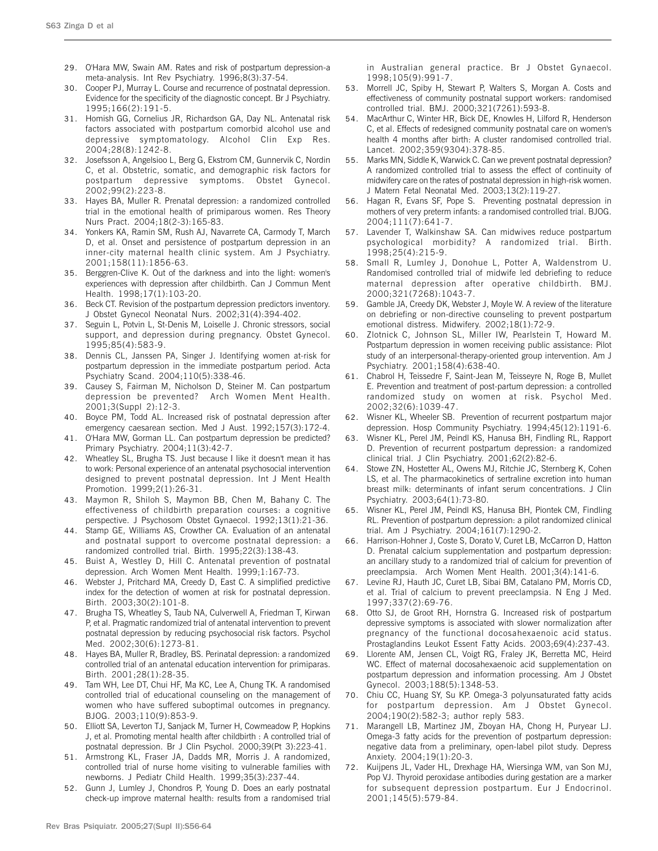- 29. O'Hara MW, Swain AM. Rates and risk of postpartum depression-a meta-analysis. Int Rev Psychiatry. 1996;8(3):37-54.
- 30. Cooper PJ, Murray L. Course and recurrence of postnatal depression. Evidence for the specificity of the diagnostic concept. Br J Psychiatry. 1995;166(2):191-5.
- 31. Homish GG, Cornelius JR, Richardson GA, Day NL. Antenatal risk factors associated with postpartum comorbid alcohol use and depressive symptomatology. Alcohol Clin Exp Res. 2004;28(8):1242-8.
- 32. Josefsson A, Angelsioo L, Berg G, Ekstrom CM, Gunnervik C, Nordin C, et al. Obstetric, somatic, and demographic risk factors for postpartum depressive symptoms. Obstet Gynecol. 2002;99(2):223-8.
- 33. Hayes BA, Muller R. Prenatal depression: a randomized controlled trial in the emotional health of primiparous women. Res Theory Nurs Pract. 2004;18(2-3):165-83.
- 34. Yonkers KA, Ramin SM, Rush AJ, Navarrete CA, Carmody T, March D, et al. Onset and persistence of postpartum depression in an inner-city maternal health clinic system. Am J Psychiatry. 2001;158(11):1856-63.
- 35. Berggren-Clive K. Out of the darkness and into the light: women's experiences with depression after childbirth. Can J Commun Ment Health. 1998;17(1):103-20.
- 36. Beck CT. Revision of the postpartum depression predictors inventory. J Obstet Gynecol Neonatal Nurs. 2002;31(4):394-402.
- 37. Seguin L, Potvin L, St-Denis M, Loiselle J. Chronic stressors, social support, and depression during pregnancy. Obstet Gynecol. 1995;85(4):583-9.
- 38. Dennis CL, Janssen PA, Singer J. Identifying women at-risk for postpartum depression in the immediate postpartum period. Acta Psychiatry Scand. 2004;110(5):338-46.
- 39. Causey S, Fairman M, Nicholson D, Steiner M. Can postpartum depression be prevented? Arch Women Ment Health. 2001;3(Suppl 2):12-3.
- 40. Boyce PM, Todd AL. Increased risk of postnatal depression after emergency caesarean section. Med J Aust. 1992;157(3):172-4.
- 41. O'Hara MW, Gorman LL. Can postpartum depression be predicted? Primary Psychiatry. 2004;11(3):42-7.
- 42. Wheatley SL, Brugha TS. Just because I like it doesn't mean it has to work: Personal experience of an antenatal psychosocial intervention designed to prevent postnatal depression. Int J Ment Health Promotion. 1999;2(1):26-31.
- 43. Maymon R, Shiloh S, Maymon BB, Chen M, Bahany C. The effectiveness of childbirth preparation courses: a cognitive perspective. J Psychosom Obstet Gynaecol. 1992;13(1):21-36.
- 44. Stamp GE, Williams AS, Crowther CA. Evaluation of an antenatal and postnatal support to overcome postnatal depression: a randomized controlled trial. Birth. 1995;22(3):138-43.
- 45. Buist A, Westley D, Hill C. Antenatal prevention of postnatal depression. Arch Women Ment Health. 1999;1:167-73.
- 46. Webster J, Pritchard MA, Creedy D, East C. A simplified predictive index for the detection of women at risk for postnatal depression. Birth. 2003;30(2):101-8.
- 47. Brugha TS, Wheatley S, Taub NA, Culverwell A, Friedman T, Kirwan P, et al. Pragmatic randomized trial of antenatal intervention to prevent postnatal depression by reducing psychosocial risk factors. Psychol Med. 2002;30(6):1273-81.
- 48. Hayes BA, Muller R, Bradley, BS. Perinatal depression: a randomized controlled trial of an antenatal education intervention for primiparas. Birth. 2001;28(1):28-35.
- 49. Tam WH, Lee DT, Chui HF, Ma KC, Lee A, Chung TK. A randomised controlled trial of educational counseling on the management of women who have suffered suboptimal outcomes in pregnancy. BJOG. 2003;110(9):853-9.
- 50. Elliott SA, Leverton TJ, Sanjack M, Turner H, Cowmeadow P, Hopkins J, et al. Promoting mental health after childbirth : A controlled trial of postnatal depression. Br J Clin Psychol. 2000;39(Pt 3):223-41.
- 51. Armstrong KL, Fraser JA, Dadds MR, Morris J. A randomized, controlled trial of nurse home visiting to vulnerable families with newborns. J Pediatr Child Health. 1999;35(3):237-44.
- 52. Gunn J, Lumley J, Chondros P, Young D. Does an early postnatal check-up improve maternal health: results from a randomised trial

in Australian general practice. Br J Obstet Gynaecol. 1998;105(9):991-7.

- 53. Morrell JC, Spiby H, Stewart P, Walters S, Morgan A. Costs and effectiveness of community postnatal support workers: randomised controlled trial. BMJ. 2000;321(7261):593-8.
- 54. MacArthur C, Winter HR, Bick DE, Knowles H, Lilford R, Henderson C, et al. Effects of redesigned community postnatal care on women's health 4 months after birth: A cluster randomised controlled trial. Lancet. 2002;359(9304):378-85.
- 55. Marks MN, Siddle K, Warwick C. Can we prevent postnatal depression? A randomized controlled trial to assess the effect of continuity of midwifery care on the rates of postnatal depression in high-risk women. J Matern Fetal Neonatal Med. 2003;13(2):119-27.
- 56. Hagan R, Evans SF, Pope S. Preventing postnatal depression in mothers of very preterm infants: a randomised controlled trial. BJOG.  $2004 \cdot 111(7) \cdot 641 - 7$
- 57. Lavender T, Walkinshaw SA. Can midwives reduce postpartum psychological morbidity? A randomized trial. Birth. 1998;25(4):215-9.
- 58. Small R, Lumley J, Donohue L, Potter A, Waldenstrom U. Randomised controlled trial of midwife led debriefing to reduce maternal depression after operative childbirth. BMJ. 2000;321(7268):1043-7.
- 59. Gamble JA, Creedy DK, Webster J, Moyle W. A review of the literature on debriefing or non-directive counseling to prevent postpartum emotional distress. Midwifery. 2002;18(1):72-9.
- 60. Zlotnick C, Johnson SL, Miller IW, Pearlstein T, Howard M. Postpartum depression in women receiving public assistance: Pilot study of an interpersonal-therapy-oriented group intervention. Am J Psychiatry. 2001;158(4):638-40.
- 61. Chabrol H, Teissedre F, Saint-Jean M, Teisseyre N, Roge B, Mullet E. Prevention and treatment of post-partum depression: a controlled randomized study on women at risk. Psychol Med. 2002;32(6):1039-47.
- 62. Wisner KL, Wheeler SB. Prevention of recurrent postpartum major depression. Hosp Community Psychiatry. 1994;45(12):1191-6.
- 63. Wisner KL, Perel JM, Peindl KS, Hanusa BH, Findling RL, Rapport D. Prevention of recurrent postpartum depression: a randomized clinical trial. J Clin Psychiatry. 2001;62(2):82-6.
- 64. Stowe ZN, Hostetter AL, Owens MJ, Ritchie JC, Sternberg K, Cohen LS, et al. The pharmacokinetics of sertraline excretion into human breast milk: determinants of infant serum concentrations. J Clin Psychiatry. 2003;64(1):73-80.
- 65. Wisner KL, Perel JM, Peindl KS, Hanusa BH, Piontek CM, Findling RL. Prevention of postpartum depression: a pilot randomized clinical trial. Am J Psychiatry. 2004;161(7):1290-2.
- 66. Harrison-Hohner J, Coste S, Dorato V, Curet LB, McCarron D, Hatton D. Prenatal calcium supplementation and postpartum depression: an ancillary study to a randomized trial of calcium for prevention of preeclampsia. Arch Women Ment Health. 2001;3(4):141-6.
- 67. Levine RJ, Hauth JC, Curet LB, Sibai BM, Catalano PM, Morris CD, et al. Trial of calcium to prevent preeclampsia. N Eng J Med. 1997;337(2):69-76.
- 68. Otto SJ, de Groot RH, Hornstra G. Increased risk of postpartum depressive symptoms is associated with slower normalization after pregnancy of the functional docosahexaenoic acid status. Prostaglandins Leukot Essent Fatty Acids. 2003;69(4):237-43.
- 69. Llorente AM, Jensen CL, Voigt RG, Fraley JK, Berretta MC, Heird WC. Effect of maternal docosahexaenoic acid supplementation on postpartum depression and information processing. Am J Obstet Gynecol. 2003;188(5):1348-53.
- 70. Chiu CC, Huang SY, Su KP. Omega-3 polyunsaturated fatty acids for postpartum depression. Am J Obstet Gynecol. 2004;190(2):582-3; author reply 583.
- 71. Marangell LB, Martinez JM, Zboyan HA, Chong H, Puryear LJ. Omega-3 fatty acids for the prevention of postpartum depression: negative data from a preliminary, open-label pilot study. Depress Anxiety. 2004;19(1):20-3.
- 72. Kuijpens JL, Vader HL, Drexhage HA, Wiersinga WM, van Son MJ, Pop VJ. Thyroid peroxidase antibodies during gestation are a marker for subsequent depression postpartum. Eur J Endocrinol. 2001;145(5):579-84.